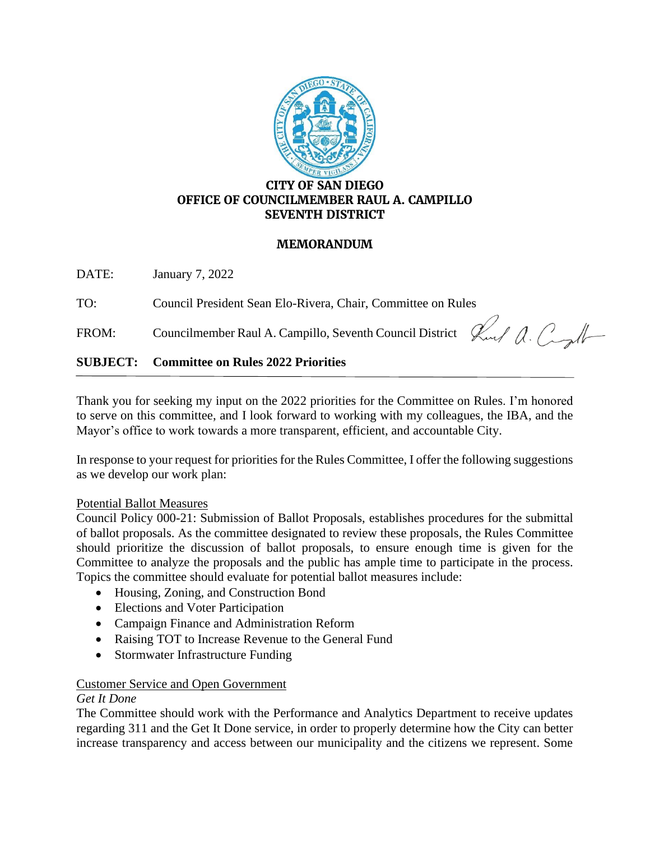

## **CITY OF SAN DIEGO OFFICE OF COUNCILMEMBER RAUL A. CAMPILLO SEVENTH DISTRICT**

### **MEMORANDUM**

DATE: January 7, 2022

TO: Council President Sean Elo-Rivera, Chair, Committee on Rules

FROM: Councilmember Raul A. Campillo, Seventh Council District  $\mathcal{L}_{\text{ref}}$   $\mathcal{L}_{\text{ref}}$ 

# **SUBJECT: Committee on Rules 2022 Priorities**

Thank you for seeking my input on the 2022 priorities for the Committee on Rules. I'm honored to serve on this committee, and I look forward to working with my colleagues, the IBA, and the Mayor's office to work towards a more transparent, efficient, and accountable City.

In response to your request for priorities for the Rules Committee, I offer the following suggestions as we develop our work plan:

#### Potential Ballot Measures

Council Policy 000-21: Submission of Ballot Proposals, establishes procedures for the submittal of ballot proposals. As the committee designated to review these proposals, the Rules Committee should prioritize the discussion of ballot proposals, to ensure enough time is given for the Committee to analyze the proposals and the public has ample time to participate in the process. Topics the committee should evaluate for potential ballot measures include:

- Housing, Zoning, and Construction Bond
- Elections and Voter Participation
- Campaign Finance and Administration Reform
- Raising TOT to Increase Revenue to the General Fund
- Stormwater Infrastructure Funding

#### Customer Service and Open Government

#### *Get It Done*

The Committee should work with the Performance and Analytics Department to receive updates regarding 311 and the Get It Done service, in order to properly determine how the City can better increase transparency and access between our municipality and the citizens we represent. Some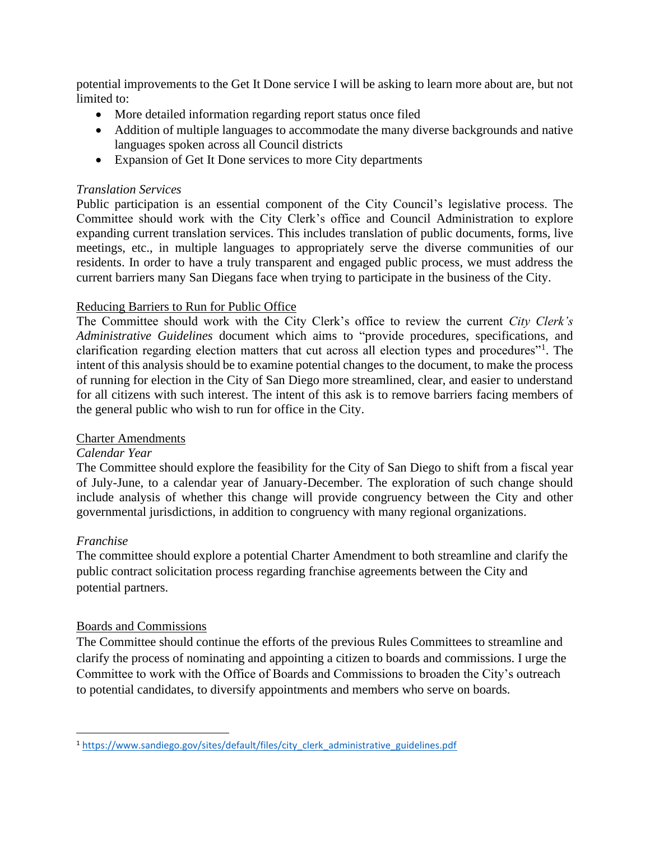potential improvements to the Get It Done service I will be asking to learn more about are, but not limited to:

- More detailed information regarding report status once filed
- Addition of multiple languages to accommodate the many diverse backgrounds and native languages spoken across all Council districts
- Expansion of Get It Done services to more City departments

## *Translation Services*

Public participation is an essential component of the City Council's legislative process. The Committee should work with the City Clerk's office and Council Administration to explore expanding current translation services. This includes translation of public documents, forms, live meetings, etc., in multiple languages to appropriately serve the diverse communities of our residents. In order to have a truly transparent and engaged public process, we must address the current barriers many San Diegans face when trying to participate in the business of the City.

### Reducing Barriers to Run for Public Office

The Committee should work with the City Clerk's office to review the current *City Clerk's Administrative Guidelines* document which aims to "provide procedures, specifications, and clarification regarding election matters that cut across all election types and procedures"<sup>1</sup>. The intent of this analysis should be to examine potential changes to the document, to make the process of running for election in the City of San Diego more streamlined, clear, and easier to understand for all citizens with such interest. The intent of this ask is to remove barriers facing members of the general public who wish to run for office in the City.

#### Charter Amendments

#### *Calendar Year*

The Committee should explore the feasibility for the City of San Diego to shift from a fiscal year of July-June, to a calendar year of January-December. The exploration of such change should include analysis of whether this change will provide congruency between the City and other governmental jurisdictions, in addition to congruency with many regional organizations.

#### *Franchise*

The committee should explore a potential Charter Amendment to both streamline and clarify the public contract solicitation process regarding franchise agreements between the City and potential partners.

#### Boards and Commissions

The Committee should continue the efforts of the previous Rules Committees to streamline and clarify the process of nominating and appointing a citizen to boards and commissions. I urge the Committee to work with the Office of Boards and Commissions to broaden the City's outreach to potential candidates, to diversify appointments and members who serve on boards.

<sup>&</sup>lt;sup>1</sup> [https://www.sandiego.gov/sites/default/files/city\\_clerk\\_administrative\\_guidelines.pdf](https://www.sandiego.gov/sites/default/files/city_clerk_administrative_guidelines.pdf)